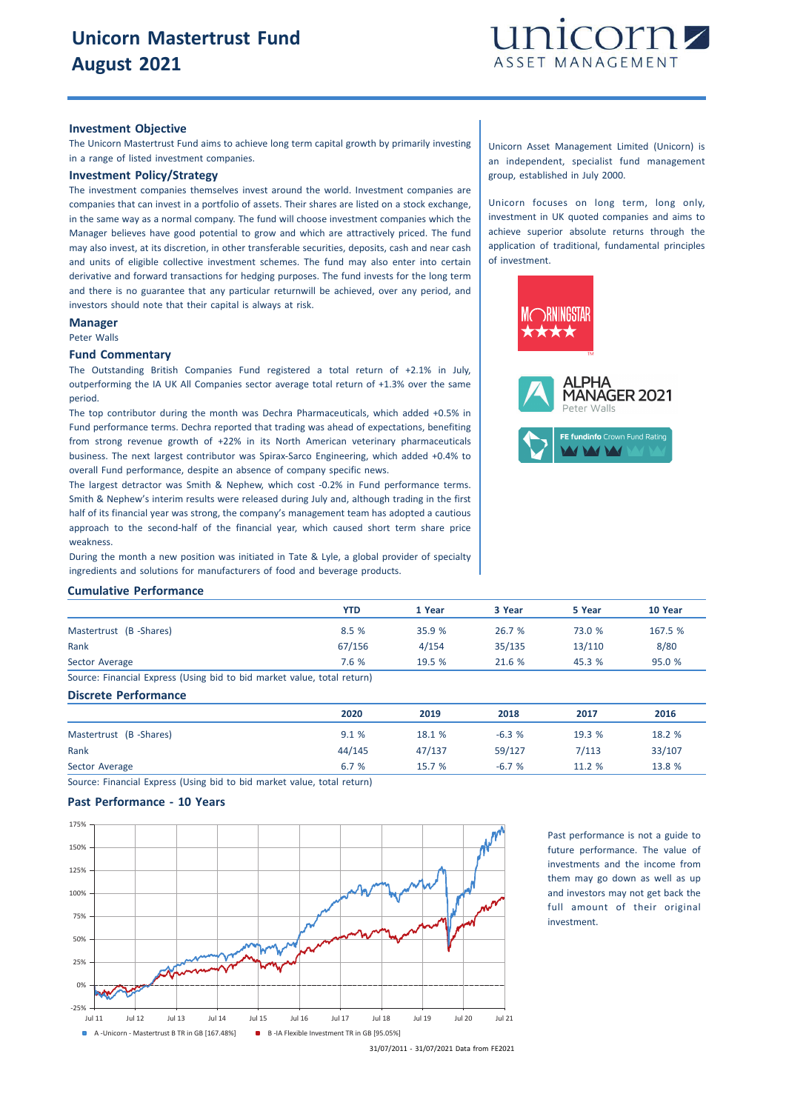

## **Investment Objective**

The Unicorn Mastertrust Fund aims to achieve long term capital growth by primarily investing in a range of listed investment companies.

# **Investment Policy/Strategy**

The investment companies themselves invest around the world. Investment companies are companies that can invest in a portfolio of assets. Their shares are listed on a stock exchange, in the same way as a normal company. The fund will choose investment companies which the Manager believes have good potential to grow and which are attractively priced. The fund may also invest, at its discretion, in other transferable securities, deposits, cash and near cash and units of eligible collective investment schemes. The fund may also enter into certain derivative and forward transactions for hedging purposes. The fund invests for the long term and there is no guarantee that any particular returnwill be achieved, over any period, and investors should note that their capital is always at risk.

#### **Manager**

Peter Walls

### **Fund Commentary**

The Outstanding British Companies Fund registered a total return of +2.1% in July, outperforming the IA UK All Companies sector average total return of +1.3% over the same period.

The top contributor during the month was Dechra Pharmaceuticals, which added +0.5% in Fund performance terms. Dechra reported that trading was ahead of expectations, benefiting from strong revenue growth of +22% in its North American veterinary pharmaceuticals business. The next largest contributor was Spirax-Sarco Engineering, which added +0.4% to overall Fund performance, despite an absence of company specific news.

The largest detractor was Smith & Nephew, which cost -0.2% in Fund performance terms. Smith & Nephew's interim results were released during July and, although trading in the first half of its financial year was strong, the company's management team has adopted a cautious approach to the second-half of the financial year, which caused short term share price weakness.

During the month a new position was initiated in Tate & Lyle, a global provider of specialty ingredients and solutions for manufacturers of food and beverage products.

Unicorn Asset Management Limited (Unicorn) is an independent, specialist fund management group, established in July 2000.

Unicorn focuses on long term, long only, investment in UK quoted companies and aims to achieve superior absolute returns through the application of traditional, fundamental principles of investment.



|  |  |  | <b>Cumulative Performance</b> |
|--|--|--|-------------------------------|
|--|--|--|-------------------------------|

|                        | YTD    | 1 Year | 3 Year | 5 Year | 10 Year |
|------------------------|--------|--------|--------|--------|---------|
| Mastertrust (B-Shares) | 8.5%   | 35.9 % | 26.7%  | 73.0 % | 167.5 % |
| Rank                   | 67/156 | 4/154  | 35/135 | 13/110 | 8/80    |
| Sector Average         | 7.6 %  | 19.5%  | 21.6 % | 45.3 % | 95.0 %  |

Source: Financial Express (Using bid to bid market value, total return)

## **Discrete Performance**

|                        | 2020   | 2019   | 2018    | 2017   | 2016   |
|------------------------|--------|--------|---------|--------|--------|
| Mastertrust (B-Shares) | 9.1%   | 18.1 % | $-6.3%$ | 19.3 % | 18.2 % |
| Rank                   | 44/145 | 47/137 | 59/127  | 7/113  | 33/107 |
| Sector Average         | 6.7 %  | 15.7%  | $-6.7%$ | 11.2 % | 13.8 % |

Source: Financial Express (Using bid to bid market value, total return)

## **Past Performance - 10 Years**



Past performance is not a guide to future performance. The value of investments and the income from them may go down as well as up and investors may not get back the full amount of their original investment.

31/07/2011 - 31/07/2021 Data from FE2021